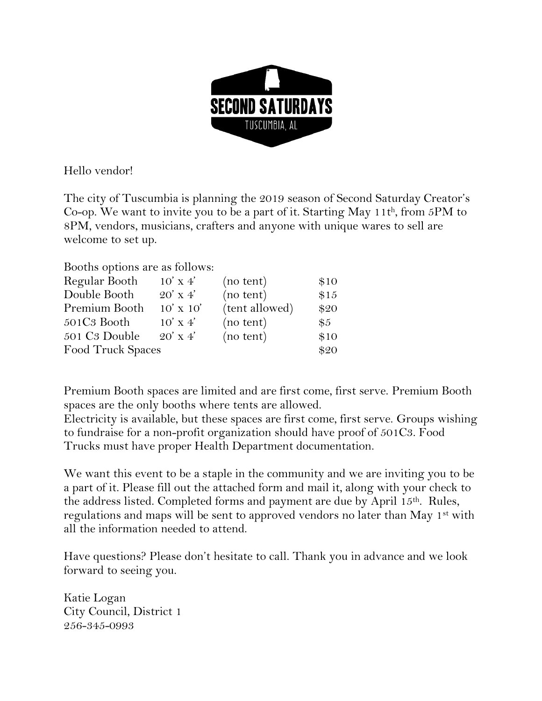

Hello vendor!

The city of Tuscumbia is planning the 2019 season of Second Saturday Creator's Co-op. We want to invite you to be a part of it. Starting May 11t<sup>h</sup> , from 5PM to 8PM, vendors, musicians, crafters and anyone with unique wares to sell are welcome to set up.

Booths options are as follows:

| $10'$ x 4'        | (no tent)      | \$10  |
|-------------------|----------------|-------|
| $20'$ x 4'        | (no tent)      | \$15  |
| $10' \times 10'$  | (tent allowed) | \$20  |
| $10'$ x 4'        | (no tent)      | $\$5$ |
| $20'$ x 4'        | (no tent)      | \$10  |
| Food Truck Spaces |                | \$20  |
|                   |                |       |

Premium Booth spaces are limited and are first come, first serve. Premium Booth spaces are the only booths where tents are allowed.

Electricity is available, but these spaces are first come, first serve. Groups wishing to fundraise for a non-profit organization should have proof of 501C3. Food Trucks must have proper Health Department documentation.

We want this event to be a staple in the community and we are inviting you to be a part of it. Please fill out the attached form and mail it, along with your check to the address listed. Completed forms and payment are due by April 15th. Rules, regulations and maps will be sent to approved vendors no later than May 1<sup>st</sup> with all the information needed to attend.

Have questions? Please don't hesitate to call. Thank you in advance and we look forward to seeing you.

Katie Logan City Council, District 1 256-345-0993